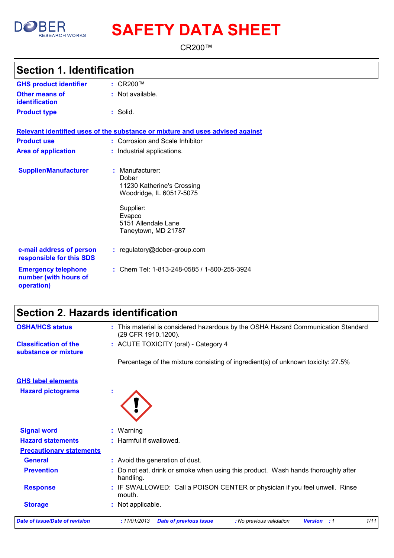

# **SAFETY DATA SHEET**

CR200™

### **Section 1. Identification**

| <b>GHS product identifier</b>                                     | : $CR200$ ™                                                                                                                                               |
|-------------------------------------------------------------------|-----------------------------------------------------------------------------------------------------------------------------------------------------------|
| <b>Other means of</b><br><b>identification</b>                    | : Not available.                                                                                                                                          |
| <b>Product type</b>                                               | : Solid.                                                                                                                                                  |
|                                                                   | Relevant identified uses of the substance or mixture and uses advised against                                                                             |
| <b>Product use</b>                                                | : Corrosion and Scale Inhibitor                                                                                                                           |
| <b>Area of application</b>                                        | : Industrial applications.                                                                                                                                |
| <b>Supplier/Manufacturer</b>                                      | $:$ Manufacturer:<br>Dober<br>11230 Katherine's Crossing<br>Woodridge, IL 60517-5075<br>Supplier:<br>Evapco<br>5151 Allendale Lane<br>Taneytown, MD 21787 |
| e-mail address of person<br>responsible for this SDS              | : regulatory@dober-group.com                                                                                                                              |
| <b>Emergency telephone</b><br>number (with hours of<br>operation) | : Chem Tel: 1-813-248-0585 / 1-800-255-3924                                                                                                               |

### **Section 2. Hazards identification**

| <b>OSHA/HCS status</b>                               | : This material is considered hazardous by the OSHA Hazard Communication Standard<br>(29 CFR 1910.1200). |
|------------------------------------------------------|----------------------------------------------------------------------------------------------------------|
| <b>Classification of the</b><br>substance or mixture | : ACUTE TOXICITY (oral) - Category 4                                                                     |
|                                                      | Percentage of the mixture consisting of ingredient(s) of unknown toxicity: 27.5%                         |
| <b>GHS label elements</b>                            |                                                                                                          |
| <b>Hazard pictograms</b>                             |                                                                                                          |
| <b>Signal word</b>                                   | : Warning                                                                                                |
| <b>Hazard statements</b>                             | : Harmful if swallowed.                                                                                  |
| <b>Precautionary statements</b>                      |                                                                                                          |
| <b>General</b>                                       | : Avoid the generation of dust.                                                                          |
| <b>Prevention</b>                                    | : Do not eat, drink or smoke when using this product. Wash hands thoroughly after<br>handling.           |
| <b>Response</b>                                      | : IF SWALLOWED: Call a POISON CENTER or physician if you feel unwell. Rinse<br>mouth.                    |
| <b>Storage</b>                                       | : Not applicable.                                                                                        |
| <b>Date of issue/Date of revision</b>                | :11/01/2013<br>1/11<br><b>Date of previous issue</b><br>: No previous validation<br><b>Version</b> : 1   |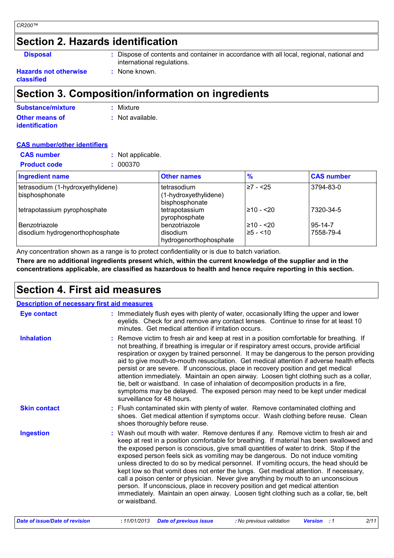### **Section 2. Hazards identification**

**Disposal :** Dispose of contents and container in accordance with all local, regional, national and international regulations.

#### **Hazards not otherwise :** None known. **classified**

### **Section 3. Composition/information on ingredients**

| Substance/mixture     | : Mixture          |
|-----------------------|--------------------|
| <b>Other means of</b> | $:$ Not available. |
| <b>identification</b> |                    |

#### **CAS number/other identifiers**

| <b>CAS number</b><br>: Not applicable.<br><b>Product code</b><br>: 000370 |                                                        |                        |                            |
|---------------------------------------------------------------------------|--------------------------------------------------------|------------------------|----------------------------|
| <b>Ingredient name</b>                                                    | <b>Other names</b>                                     | $\frac{9}{6}$          | <b>CAS number</b>          |
| tetrasodium (1-hydroxyethylidene)<br>bisphosphonate                       | tetrasodium<br>(1-hydroxyethylidene)<br>bisphosphonate | ≥7 - <25               | 3794-83-0                  |
| tetrapotassium pyrophosphate                                              | tetrapotassium<br>pyrophosphate                        | l≥10 - <20             | 7320-34-5                  |
| <b>Benzotriazole</b><br>disodium hydrogenorthophosphate                   | benzotriazole<br>disodium<br>hydrogenorthophosphate    | l≥10 - <20<br>25 - <10 | $95 - 14 - 7$<br>7558-79-4 |

Any concentration shown as a range is to protect confidentiality or is due to batch variation.

**There are no additional ingredients present which, within the current knowledge of the supplier and in the concentrations applicable, are classified as hazardous to health and hence require reporting in this section.**

### **Section 4. First aid measures**

| <b>Description of necessary first aid measures</b> |                                                                                                                                                                                                                                                                                                                                                                                                                                                                                                                                                                                                                                                                                                                                                                                                                             |
|----------------------------------------------------|-----------------------------------------------------------------------------------------------------------------------------------------------------------------------------------------------------------------------------------------------------------------------------------------------------------------------------------------------------------------------------------------------------------------------------------------------------------------------------------------------------------------------------------------------------------------------------------------------------------------------------------------------------------------------------------------------------------------------------------------------------------------------------------------------------------------------------|
| <b>Eye contact</b>                                 | : Immediately flush eyes with plenty of water, occasionally lifting the upper and lower<br>eyelids. Check for and remove any contact lenses. Continue to rinse for at least 10<br>minutes. Get medical attention if irritation occurs.                                                                                                                                                                                                                                                                                                                                                                                                                                                                                                                                                                                      |
| <b>Inhalation</b>                                  | Remove victim to fresh air and keep at rest in a position comfortable for breathing. If<br>not breathing, if breathing is irregular or if respiratory arrest occurs, provide artificial<br>respiration or oxygen by trained personnel. It may be dangerous to the person providing<br>aid to give mouth-to-mouth resuscitation. Get medical attention if adverse health effects<br>persist or are severe. If unconscious, place in recovery position and get medical<br>attention immediately. Maintain an open airway. Loosen tight clothing such as a collar,<br>tie, belt or waistband. In case of inhalation of decomposition products in a fire,<br>symptoms may be delayed. The exposed person may need to be kept under medical<br>surveillance for 48 hours.                                                        |
| <b>Skin contact</b>                                | : Flush contaminated skin with plenty of water. Remove contaminated clothing and<br>shoes. Get medical attention if symptoms occur. Wash clothing before reuse. Clean<br>shoes thoroughly before reuse.                                                                                                                                                                                                                                                                                                                                                                                                                                                                                                                                                                                                                     |
| <b>Ingestion</b>                                   | Wash out mouth with water. Remove dentures if any. Remove victim to fresh air and<br>keep at rest in a position comfortable for breathing. If material has been swallowed and<br>the exposed person is conscious, give small quantities of water to drink. Stop if the<br>exposed person feels sick as vomiting may be dangerous. Do not induce vomiting<br>unless directed to do so by medical personnel. If vomiting occurs, the head should be<br>kept low so that vomit does not enter the lungs. Get medical attention. If necessary,<br>call a poison center or physician. Never give anything by mouth to an unconscious<br>person. If unconscious, place in recovery position and get medical attention<br>immediately. Maintain an open airway. Loosen tight clothing such as a collar, tie, belt<br>or waistband. |
| Date of issue/Date of revision                     | 2/11<br>:11/01/2013<br><b>Date of previous issue</b><br>: No previous validation<br><b>Version</b> : 1                                                                                                                                                                                                                                                                                                                                                                                                                                                                                                                                                                                                                                                                                                                      |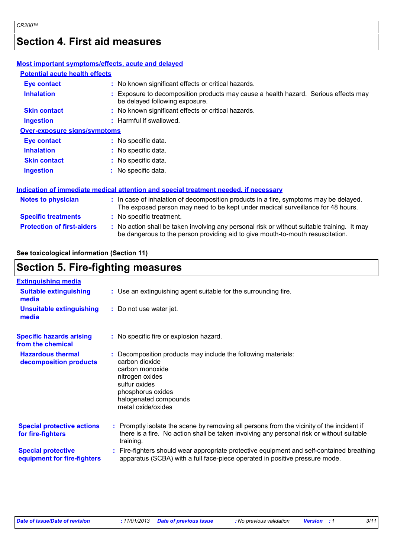### **Section 4. First aid measures**

| Most important symptoms/effects, acute and delayed |                                                                                                                                                                               |
|----------------------------------------------------|-------------------------------------------------------------------------------------------------------------------------------------------------------------------------------|
| <b>Potential acute health effects</b>              |                                                                                                                                                                               |
| Eye contact                                        | : No known significant effects or critical hazards.                                                                                                                           |
| <b>Inhalation</b>                                  | : Exposure to decomposition products may cause a health hazard. Serious effects may<br>be delayed following exposure.                                                         |
| <b>Skin contact</b>                                | : No known significant effects or critical hazards.                                                                                                                           |
| <b>Ingestion</b>                                   | : Harmful if swallowed.                                                                                                                                                       |
| <b>Over-exposure signs/symptoms</b>                |                                                                                                                                                                               |
| <b>Eye contact</b>                                 | : No specific data.                                                                                                                                                           |
| <b>Inhalation</b>                                  | : No specific data.                                                                                                                                                           |
| <b>Skin contact</b>                                | : No specific data.                                                                                                                                                           |
| <b>Ingestion</b>                                   | : No specific data.                                                                                                                                                           |
|                                                    | Indication of immediate medical attention and special treatment needed, if necessary                                                                                          |
| <b>Notes to physician</b>                          | : In case of inhalation of decomposition products in a fire, symptoms may be delayed.<br>The exposed person may need to be kept under medical surveillance for 48 hours.      |
| <b>Specific treatments</b>                         | : No specific treatment.                                                                                                                                                      |
| <b>Protection of first-aiders</b>                  | : No action shall be taken involving any personal risk or without suitable training. It may<br>be dangerous to the person providing aid to give mouth-to-mouth resuscitation. |
|                                                    |                                                                                                                                                                               |

#### **See toxicological information (Section 11)**

### **Section 5. Fire-fighting measures**

| <b>Extinguishing media</b>                               |                                                                                                                                                                                                            |
|----------------------------------------------------------|------------------------------------------------------------------------------------------------------------------------------------------------------------------------------------------------------------|
| <b>Suitable extinguishing</b><br>media                   | : Use an extinguishing agent suitable for the surrounding fire.                                                                                                                                            |
| <b>Unsuitable extinguishing</b><br>media                 | : Do not use water jet.                                                                                                                                                                                    |
| <b>Specific hazards arising</b><br>from the chemical     | : No specific fire or explosion hazard.                                                                                                                                                                    |
| <b>Hazardous thermal</b><br>decomposition products       | : Decomposition products may include the following materials:<br>carbon dioxide<br>carbon monoxide<br>nitrogen oxides<br>sulfur oxides<br>phosphorus oxides<br>halogenated compounds<br>metal oxide/oxides |
| <b>Special protective actions</b><br>for fire-fighters   | : Promptly isolate the scene by removing all persons from the vicinity of the incident if<br>there is a fire. No action shall be taken involving any personal risk or without suitable<br>training.        |
| <b>Special protective</b><br>equipment for fire-fighters | : Fire-fighters should wear appropriate protective equipment and self-contained breathing<br>apparatus (SCBA) with a full face-piece operated in positive pressure mode.                                   |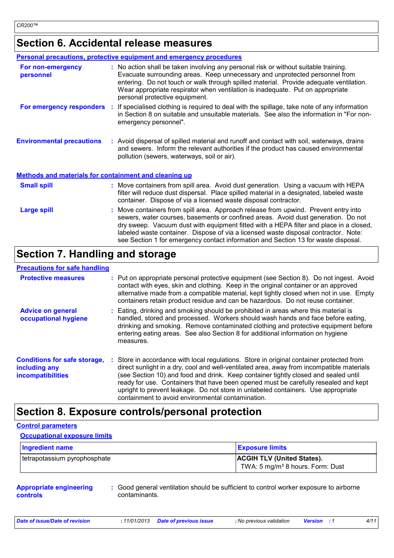### **Section 6. Accidental release measures**

|                                                              | <b>Personal precautions, protective equipment and emergency procedures</b>                                                                                                                                                                                                                                                                                                                                                                    |
|--------------------------------------------------------------|-----------------------------------------------------------------------------------------------------------------------------------------------------------------------------------------------------------------------------------------------------------------------------------------------------------------------------------------------------------------------------------------------------------------------------------------------|
| For non-emergency<br>personnel                               | : No action shall be taken involving any personal risk or without suitable training.<br>Evacuate surrounding areas. Keep unnecessary and unprotected personnel from<br>entering. Do not touch or walk through spilled material. Provide adequate ventilation.<br>Wear appropriate respirator when ventilation is inadequate. Put on appropriate<br>personal protective equipment.                                                             |
| For emergency responders :                                   | If specialised clothing is required to deal with the spillage, take note of any information<br>in Section 8 on suitable and unsuitable materials. See also the information in "For non-<br>emergency personnel".                                                                                                                                                                                                                              |
| <b>Environmental precautions</b>                             | : Avoid dispersal of spilled material and runoff and contact with soil, waterways, drains<br>and sewers. Inform the relevant authorities if the product has caused environmental<br>pollution (sewers, waterways, soil or air).                                                                                                                                                                                                               |
| <b>Methods and materials for containment and cleaning up</b> |                                                                                                                                                                                                                                                                                                                                                                                                                                               |
| <b>Small spill</b>                                           | : Move containers from spill area. Avoid dust generation. Using a vacuum with HEPA<br>filter will reduce dust dispersal. Place spilled material in a designated, labeled waste<br>container. Dispose of via a licensed waste disposal contractor.                                                                                                                                                                                             |
| <b>Large spill</b>                                           | Move containers from spill area. Approach release from upwind. Prevent entry into<br>sewers, water courses, basements or confined areas. Avoid dust generation. Do not<br>dry sweep. Vacuum dust with equipment fitted with a HEPA filter and place in a closed,<br>labeled waste container. Dispose of via a licensed waste disposal contractor. Note:<br>see Section 1 for emergency contact information and Section 13 for waste disposal. |

### **Section 7. Handling and storage**

| <b>Precautions for safe handling</b>                                             |                                                                                                                                                                                                                                                                                                                                                                                                                                                                                                               |
|----------------------------------------------------------------------------------|---------------------------------------------------------------------------------------------------------------------------------------------------------------------------------------------------------------------------------------------------------------------------------------------------------------------------------------------------------------------------------------------------------------------------------------------------------------------------------------------------------------|
| <b>Protective measures</b>                                                       | : Put on appropriate personal protective equipment (see Section 8). Do not ingest. Avoid<br>contact with eyes, skin and clothing. Keep in the original container or an approved<br>alternative made from a compatible material, kept tightly closed when not in use. Empty<br>containers retain product residue and can be hazardous. Do not reuse container.                                                                                                                                                 |
| <b>Advice on general</b><br>occupational hygiene                                 | : Eating, drinking and smoking should be prohibited in areas where this material is<br>handled, stored and processed. Workers should wash hands and face before eating,<br>drinking and smoking. Remove contaminated clothing and protective equipment before<br>entering eating areas. See also Section 8 for additional information on hygiene<br>measures.                                                                                                                                                 |
| <b>Conditions for safe storage,</b><br>including any<br><b>incompatibilities</b> | : Store in accordance with local regulations. Store in original container protected from<br>direct sunlight in a dry, cool and well-ventilated area, away from incompatible materials<br>(see Section 10) and food and drink. Keep container tightly closed and sealed until<br>ready for use. Containers that have been opened must be carefully resealed and kept<br>upright to prevent leakage. Do not store in unlabeled containers. Use appropriate<br>containment to avoid environmental contamination. |

### **Section 8. Exposure controls/personal protection**

#### **Control parameters**

**Occupational exposure limits**

| Ingredient name              | <b>Exposure limits</b>                       |
|------------------------------|----------------------------------------------|
| tetrapotassium pyrophosphate | <b>ACGIH TLV (United States).</b>            |
|                              | TWA: 5 mg/m <sup>3</sup> 8 hours. Form: Dust |

#### **Appropriate engineering controls**

**:** Good general ventilation should be sufficient to control worker exposure to airborne contaminants.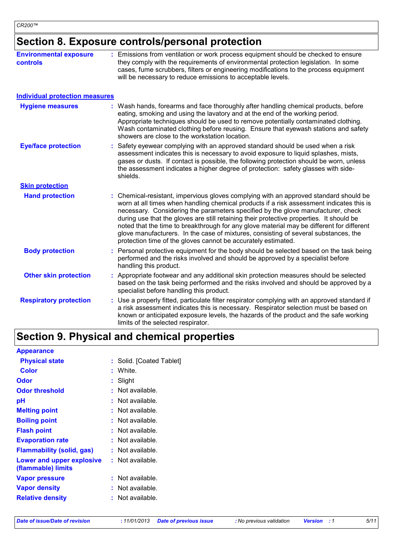### **Section 8. Exposure controls/personal protection**

| <b>Environmental exposure</b><br><b>controls</b> | : Emissions from ventilation or work process equipment should be checked to ensure<br>they comply with the requirements of environmental protection legislation. In some<br>cases, fume scrubbers, filters or engineering modifications to the process equipment<br>will be necessary to reduce emissions to acceptable levels.                                                                                                                                                                                                                                                                                        |
|--------------------------------------------------|------------------------------------------------------------------------------------------------------------------------------------------------------------------------------------------------------------------------------------------------------------------------------------------------------------------------------------------------------------------------------------------------------------------------------------------------------------------------------------------------------------------------------------------------------------------------------------------------------------------------|
| <b>Individual protection measures</b>            |                                                                                                                                                                                                                                                                                                                                                                                                                                                                                                                                                                                                                        |
| <b>Hygiene measures</b>                          | : Wash hands, forearms and face thoroughly after handling chemical products, before<br>eating, smoking and using the lavatory and at the end of the working period.<br>Appropriate techniques should be used to remove potentially contaminated clothing.<br>Wash contaminated clothing before reusing. Ensure that eyewash stations and safety<br>showers are close to the workstation location.                                                                                                                                                                                                                      |
| <b>Eye/face protection</b>                       | : Safety eyewear complying with an approved standard should be used when a risk<br>assessment indicates this is necessary to avoid exposure to liquid splashes, mists,<br>gases or dusts. If contact is possible, the following protection should be worn, unless<br>the assessment indicates a higher degree of protection: safety glasses with side-<br>shields.                                                                                                                                                                                                                                                     |
| <b>Skin protection</b>                           |                                                                                                                                                                                                                                                                                                                                                                                                                                                                                                                                                                                                                        |
| <b>Hand protection</b>                           | : Chemical-resistant, impervious gloves complying with an approved standard should be<br>worn at all times when handling chemical products if a risk assessment indicates this is<br>necessary. Considering the parameters specified by the glove manufacturer, check<br>during use that the gloves are still retaining their protective properties. It should be<br>noted that the time to breakthrough for any glove material may be different for different<br>glove manufacturers. In the case of mixtures, consisting of several substances, the<br>protection time of the gloves cannot be accurately estimated. |
| <b>Body protection</b>                           | Personal protective equipment for the body should be selected based on the task being<br>performed and the risks involved and should be approved by a specialist before<br>handling this product.                                                                                                                                                                                                                                                                                                                                                                                                                      |
| <b>Other skin protection</b>                     | Appropriate footwear and any additional skin protection measures should be selected<br>based on the task being performed and the risks involved and should be approved by a<br>specialist before handling this product.                                                                                                                                                                                                                                                                                                                                                                                                |
| <b>Respiratory protection</b>                    | Use a properly fitted, particulate filter respirator complying with an approved standard if<br>a risk assessment indicates this is necessary. Respirator selection must be based on<br>known or anticipated exposure levels, the hazards of the product and the safe working<br>limits of the selected respirator.                                                                                                                                                                                                                                                                                                     |

## **Section 9. Physical and chemical properties**

| <b>Appearance</b>                               |                          |
|-------------------------------------------------|--------------------------|
| <b>Physical state</b>                           | : Solid. [Coated Tablet] |
| <b>Color</b>                                    | : White.                 |
| <b>Odor</b>                                     | $:$ Slight               |
| <b>Odor threshold</b>                           | : Not available.         |
| pH                                              | : Not available.         |
| <b>Melting point</b>                            | : Not available.         |
| <b>Boiling point</b>                            | : Not available.         |
| <b>Flash point</b>                              | : Not available.         |
| <b>Evaporation rate</b>                         | : Not available.         |
| <b>Flammability (solid, gas)</b>                | : Not available.         |
| Lower and upper explosive<br>(flammable) limits | : Not available.         |
| <b>Vapor pressure</b>                           | $:$ Not available.       |
| <b>Vapor density</b>                            | : Not available.         |
| <b>Relative density</b>                         | : Not available.         |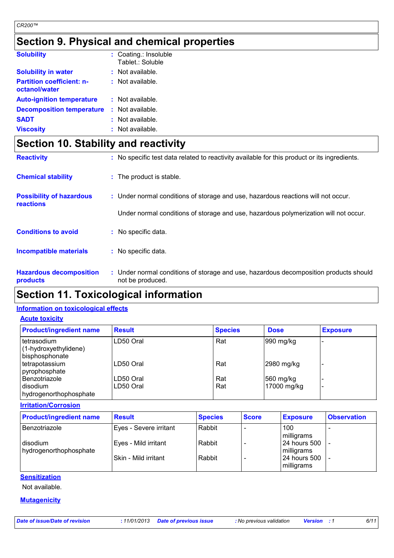### **Section 9. Physical and chemical properties**

| <b>Solubility</b>                                 | : Coating.: Insoluble<br>Tablet.: Soluble |
|---------------------------------------------------|-------------------------------------------|
| <b>Solubility in water</b>                        | : Not available.                          |
| <b>Partition coefficient: n-</b><br>octanol/water | $:$ Not available.                        |
| <b>Auto-ignition temperature</b>                  | : Not available.                          |
| <b>Decomposition temperature</b>                  | : Not available.                          |
| <b>SADT</b>                                       | $:$ Not available.                        |
| <b>Viscosity</b>                                  | : Not available.                          |

## **Section 10. Stability and reactivity**

| <b>Reactivity</b>                            | : No specific test data related to reactivity available for this product or its ingredients.              |
|----------------------------------------------|-----------------------------------------------------------------------------------------------------------|
| <b>Chemical stability</b>                    | : The product is stable.                                                                                  |
| <b>Possibility of hazardous</b><br>reactions | : Under normal conditions of storage and use, hazardous reactions will not occur.                         |
|                                              | Under normal conditions of storage and use, hazardous polymerization will not occur.                      |
| <b>Conditions to avoid</b>                   | : No specific data.                                                                                       |
| Incompatible materials                       | : No specific data.                                                                                       |
| <b>Hazardous decomposition</b><br>products   | : Under normal conditions of storage and use, hazardous decomposition products should<br>not be produced. |

### **Section 11. Toxicological information**

#### **Information on toxicological effects**

| <b>Acute toxicity</b>                                  |               |                |             |                 |
|--------------------------------------------------------|---------------|----------------|-------------|-----------------|
| <b>Product/ingredient name</b>                         | <b>Result</b> | <b>Species</b> | <b>Dose</b> | <b>Exposure</b> |
| tetrasodium<br>(1-hydroxyethylidene)<br>bisphosphonate | LD50 Oral     | Rat            | 990 mg/kg   |                 |
| tetrapotassium<br>pyrophosphate                        | LD50 Oral     | Rat            | 2980 mg/kg  |                 |
| Benzotriazole                                          | LD50 Oral     | Rat            | 560 mg/kg   |                 |
| disodium<br>hydrogenorthophosphate                     | LD50 Oral     | Rat            | 17000 mg/kg |                 |

**Irritation/Corrosion**

| <b>Product/ingredient name</b>     | <b>Result</b>          | <b>Species</b> | <b>Score</b> | <b>Exposure</b>                | <b>Observation</b> |
|------------------------------------|------------------------|----------------|--------------|--------------------------------|--------------------|
| Benzotriazole                      | Eyes - Severe irritant | Rabbit         |              | 100<br>milligrams              |                    |
| disodium<br>hydrogenorthophosphate | Eyes - Mild irritant   | Rabbit         |              | l 24 hours 500<br>milligrams   |                    |
|                                    | l Skin - Mild irritant | Rabbit         |              | l 24 hours 500 l<br>milligrams |                    |

#### **Sensitization**

Not available.

#### **Mutagenicity**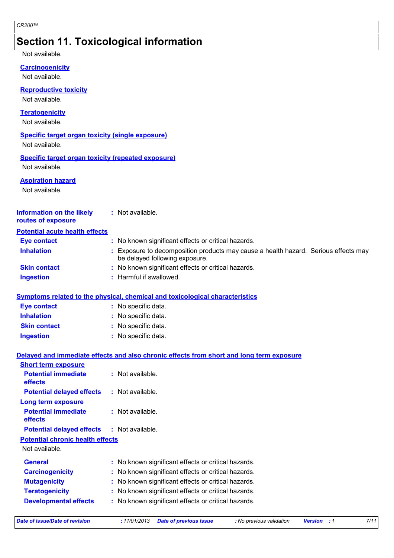### **Section 11. Toxicological information**

#### Not available.

**Carcinogenicity**

Not available.

**Reproductive toxicity**

Not available.

**Teratogenicity**

Not available.

### **Specific target organ toxicity (single exposure)**

Not available.

#### **Specific target organ toxicity (repeated exposure)** Not available.

**Aspiration hazard**

Not available.

#### **Information on the likely routes of exposure :** Not available.

| <b>Potential acute health effects</b> |                                                                                                                     |
|---------------------------------------|---------------------------------------------------------------------------------------------------------------------|
| Eye contact                           | : No known significant effects or critical hazards.                                                                 |
| <b>Inhalation</b>                     | Exposure to decomposition products may cause a health hazard. Serious effects may<br>be delayed following exposure. |
| <b>Skin contact</b>                   | : No known significant effects or critical hazards.                                                                 |
| <b>Ingestion</b>                      | : Harmful if swallowed.                                                                                             |

#### **Symptoms related to the physical, chemical and toxicological characteristics**

| <b>Eye contact</b>  | : No specific data. |
|---------------------|---------------------|
| <b>Inhalation</b>   | : No specific data. |
| <b>Skin contact</b> | : No specific data. |
| <b>Ingestion</b>    | : No specific data. |

#### **Delayed and immediate effects and also chronic effects from short and long term exposure**

| $:$ Not available.                                  |
|-----------------------------------------------------|
| : Not available.                                    |
|                                                     |
| : Not available.                                    |
| <b>Potential delayed effects : Not available.</b>   |
|                                                     |
|                                                     |
| : No known significant effects or critical hazards. |
| : No known significant effects or critical hazards. |
| : No known significant effects or critical hazards. |
| : No known significant effects or critical hazards. |
| : No known significant effects or critical hazards. |
|                                                     |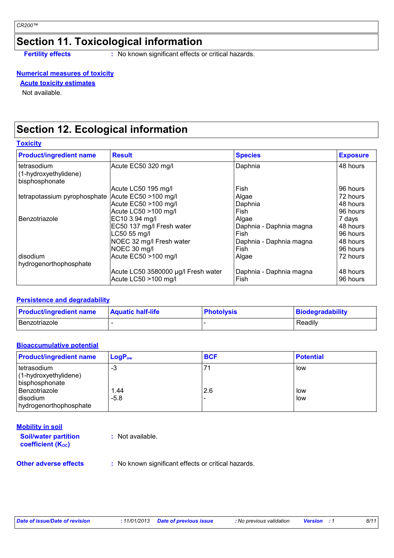### **Section 11. Toxicological information**

**Fertility effects :** No known significant effects or critical hazards.

#### **Numerical measures of toxicity**

**Acute toxicity estimates**

Not available.

### **Section 12. Ecological information**

**Toxicity**

| <b>Product/ingredient name</b>          | <b>Result</b>                       | <b>Species</b>          | <b>Exposure</b> |
|-----------------------------------------|-------------------------------------|-------------------------|-----------------|
| tetrasodium                             | Acute EC50 320 mg/l                 | Daphnia                 | 48 hours        |
| (1-hydroxyethylidene)<br>bisphosphonate |                                     |                         |                 |
|                                         | Acute LC50 195 mg/l                 | Fish                    | 96 hours        |
| tetrapotassium pyrophosphate            | Acute EC50 >100 mg/l                | Algae                   | 72 hours        |
|                                         | Acute EC50 >100 mg/l                | Daphnia                 | 48 hours        |
|                                         | Acute LC50 >100 mg/l                | Fish                    | 96 hours        |
| Benzotriazole                           | EC10 3.94 mg/l                      | Algae                   | 7 days          |
|                                         | EC50 137 mg/l Fresh water           | Daphnia - Daphnia magna | 48 hours        |
|                                         | LC50 55 mg/l                        | Fish                    | 96 hours        |
|                                         | NOEC 32 mg/l Fresh water            | Daphnia - Daphnia magna | 48 hours        |
|                                         | NOEC 30 mg/l                        | Fish                    | 96 hours        |
| disodium                                | Acute EC50 >100 mg/l                | Algae                   | 72 hours        |
| hydrogenorthophosphate                  |                                     |                         |                 |
|                                         | Acute LC50 3580000 µg/l Fresh water | Daphnia - Daphnia magna | 48 hours        |
|                                         | Acute LC50 >100 mg/l                | Fish                    | 96 hours        |

#### **Persistence and degradability**

| <b>Product/ingredient name</b> | <b>Aquatic half-life</b> | <b>Photolysis</b> | Biodegradability |
|--------------------------------|--------------------------|-------------------|------------------|
| Benzotriazole                  |                          |                   | Readily          |

#### **Bioaccumulative potential**

| <b>Product/ingredient name</b> | $LogP_{ow}$ | <b>BCF</b> | <b>Potential</b> |
|--------------------------------|-------------|------------|------------------|
| Itetrasodium                   | -3          |            | low              |
| $(1-hydroxyethy$ lidene $)$    |             |            |                  |
| bisphosphonate                 |             |            |                  |
| Benzotriazole                  | 1.44        | 2.6        | low              |
| disodium                       | $-5.8$      |            | low              |
| hydrogenorthophosphate         |             |            |                  |

**Soil/water partition Mobility in soil**

**coefficient (KOC)**

**:** Not available.

**Other adverse effects** : No known significant effects or critical hazards.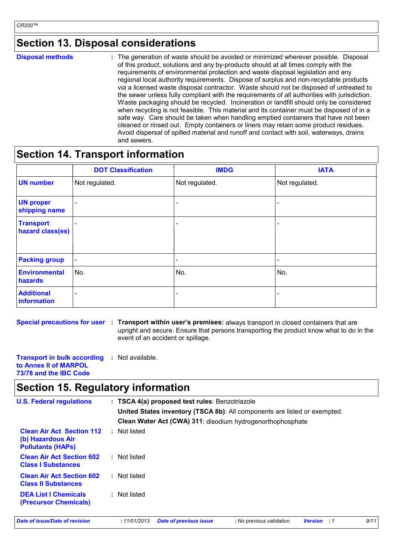### **Section 13. Disposal considerations**

**Disposal methods :**

The generation of waste should be avoided or minimized wherever possible. Disposal of this product, solutions and any by-products should at all times comply with the requirements of environmental protection and waste disposal legislation and any regional local authority requirements. Dispose of surplus and non-recyclable products via a licensed waste disposal contractor. Waste should not be disposed of untreated to the sewer unless fully compliant with the requirements of all authorities with jurisdiction. Waste packaging should be recycled. Incineration or landfill should only be considered when recycling is not feasible. This material and its container must be disposed of in a safe way. Care should be taken when handling emptied containers that have not been cleaned or rinsed out. Empty containers or liners may retain some product residues. Avoid dispersal of spilled material and runoff and contact with soil, waterways, drains and sewers.

### **Section 14. Transport information**

|                                      | <b>DOT Classification</b> | <b>IMDG</b>              | <b>IATA</b>              |
|--------------------------------------|---------------------------|--------------------------|--------------------------|
| <b>UN number</b>                     | Not regulated.            | Not regulated.           | Not regulated.           |
| <b>UN proper</b><br>shipping name    | $\blacksquare$            |                          |                          |
| <b>Transport</b><br>hazard class(es) |                           | -                        | $\overline{\phantom{0}}$ |
| <b>Packing group</b>                 | $\overline{\phantom{a}}$  | $\overline{\phantom{a}}$ | $\overline{\phantom{a}}$ |
| <b>Environmental</b><br>hazards      | No.                       | No.                      | No.                      |
| <b>Additional</b><br>information     |                           | $\overline{\phantom{0}}$ | $\overline{\phantom{0}}$ |

**Special precautions for user Transport within user's premises:** always transport in closed containers that are **:** upright and secure. Ensure that persons transporting the product know what to do in the event of an accident or spillage.

| <b>Transport in bulk according : Not available.</b> |  |  |
|-----------------------------------------------------|--|--|
| to Annex II of MARPOL                               |  |  |
| 73/78 and the IBC Code                              |  |  |

### **Section 15. Regulatory information**

| <b>U.S. Federal regulations</b>                                                   |                                                            | : TSCA 4(a) proposed test rules: Benzotriazole<br>United States inventory (TSCA 8b): All components are listed or exempted. |                          |                    |      |  |  |  |  |
|-----------------------------------------------------------------------------------|------------------------------------------------------------|-----------------------------------------------------------------------------------------------------------------------------|--------------------------|--------------------|------|--|--|--|--|
|                                                                                   | Clean Water Act (CWA) 311: disodium hydrogenorthophosphate |                                                                                                                             |                          |                    |      |  |  |  |  |
| <b>Clean Air Act Section 112</b><br>(b) Hazardous Air<br><b>Pollutants (HAPS)</b> | : Not listed                                               |                                                                                                                             |                          |                    |      |  |  |  |  |
| <b>Clean Air Act Section 602</b><br><b>Class I Substances</b>                     | : Not listed                                               |                                                                                                                             |                          |                    |      |  |  |  |  |
| <b>Clean Air Act Section 602</b><br><b>Class II Substances</b>                    | : Not listed                                               |                                                                                                                             |                          |                    |      |  |  |  |  |
| <b>DEA List I Chemicals</b><br><b>(Precursor Chemicals)</b>                       | : Not listed                                               |                                                                                                                             |                          |                    |      |  |  |  |  |
| Date of issue/Date of revision                                                    | :11/01/2013                                                | <b>Date of previous issue</b>                                                                                               | : No previous validation | <b>Version</b> : 1 | 9/11 |  |  |  |  |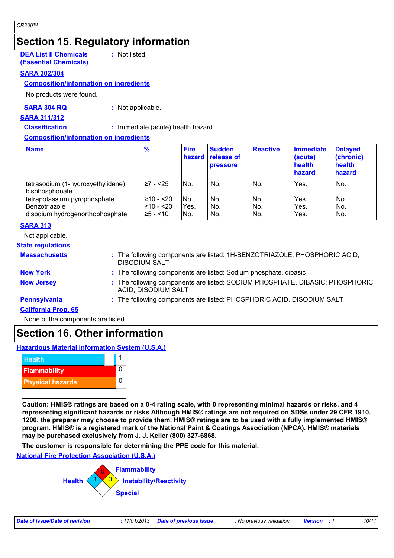### **Section 15. Regulatory information**

**DEA List II Chemicals (Essential Chemicals) :** Not listed

#### **SARA 302/304**

#### **Composition/information on ingredients**

No products were found.

#### **SARA 304 RQ :** Not applicable.

**SARA 311/312**

**Classification :** Immediate (acute) health hazard

#### **Composition/information on ingredients**

| <b>Name</b>                                                                      | $\frac{9}{6}$                           | <b>Fire</b><br>hazard | <b>Sudden</b><br><b>release of</b><br><b>pressure</b> | <b>Reactive</b>   | Immediate<br>(acute)<br>health<br>hazard | <b>Delayed</b><br>(chronic)<br>health<br>hazard |
|----------------------------------------------------------------------------------|-----------------------------------------|-----------------------|-------------------------------------------------------|-------------------|------------------------------------------|-------------------------------------------------|
| tetrasodium (1-hydroxyethylidene)<br>bisphosphonate                              | $≥7 - 25$                               | No.                   | No.                                                   | No.               | Yes.                                     | No.                                             |
| tetrapotassium pyrophosphate<br>Benzotriazole<br>disodium hydrogenorthophosphate | $≥10 - 20$<br>⊧≥10 - <20<br>$≥5 - < 10$ | No.<br>Yes.<br>No.    | No.<br>No.<br>No.                                     | No.<br>No.<br>No. | Yes.<br>Yes.<br>Yes.                     | No.<br>No.<br>No.                               |

#### **SARA 313**

Not applicable.

#### **State regulations**

: The following components are listed: 1H-BENZOTRIAZOLE; PHOSPHORIC ACID, DISODIUM SALT **Massachusetts : New York :** The following components are listed: Sodium phosphate, dibasic **New Jersey :** The following components are listed: SODIUM PHOSPHATE, DIBASIC; PHOSPHORIC ACID, DISODIUM SALT

**Pennsylvania :** The following components are listed: PHOSPHORIC ACID, DISODIUM SALT

#### **California Prop. 65**

None of the components are listed.

### **Section 16. Other information**

**Hazardous Material Information System (U.S.A.)**



**Caution: HMIS® ratings are based on a 0-4 rating scale, with 0 representing minimal hazards or risks, and 4 representing significant hazards or risks Although HMIS® ratings are not required on SDSs under 29 CFR 1910. 1200, the preparer may choose to provide them. HMIS® ratings are to be used with a fully implemented HMIS® program. HMIS® is a registered mark of the National Paint & Coatings Association (NPCA). HMIS® materials may be purchased exclusively from J. J. Keller (800) 327-6868.**

**The customer is responsible for determining the PPE code for this material.**

**National Fire Protection Association (U.S.A.)**